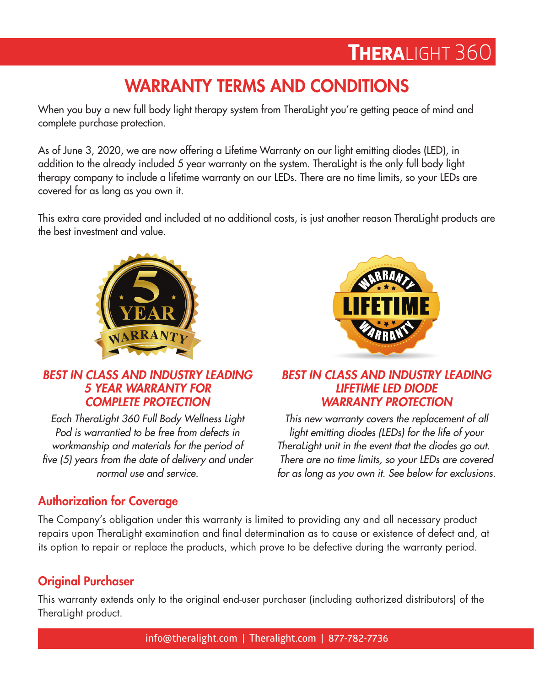# THERALIGHT 360

## WARRANTY TERMS AND CONDITIONS

When you buy a new full body light therapy system from TheraLight you're getting peace of mind and complete purchase protection.

As of June 3, 2020, we are now offering a Lifetime Warranty on our light emitting diodes (LED), in addition to the already included 5 year warranty on the system. TheraLight is the only full body light therapy company to include a lifetime warranty on our LEDs. There are no time limits, so your LEDs are covered for as long as you own it.

This extra care provided and included at no additional costs, is just another reason TheraLight products are the best investment and value.





#### *BEST IN CLASS AND INDUSTRY LEADING 5 YEAR WARRANTY FOR COMPLETE PROTECTION*

*Each TheraLight 360 Full Body Wellness Light Pod is warrantied to be free from defects in workmanship and materials for the period of five (5) years from the date of delivery and under normal use and service.*

#### *BEST IN CLASS AND INDUSTRY LEADING LIFETIME LED DIODE WARRANTY PROTECTION*

*This new warranty covers the replacement of all light emitting diodes (LEDs) for the life of your TheraLight unit in the event that the diodes go out. There are no time limits, so your LEDs are covered for as long as you own it. See below for exclusions.*

### Authorization for Coverage

The Company's obligation under this warranty is limited to providing any and all necessary product repairs upon TheraLight examination and final determination as to cause or existence of defect and, at its option to repair or replace the products, which prove to be defective during the warranty period.

#### Original Purchaser

This warranty extends only to the original end-user purchaser (including authorized distributors) of the TheraLight product.

**info@theralight.com** | **Theralight.com** | **877-782-7736**